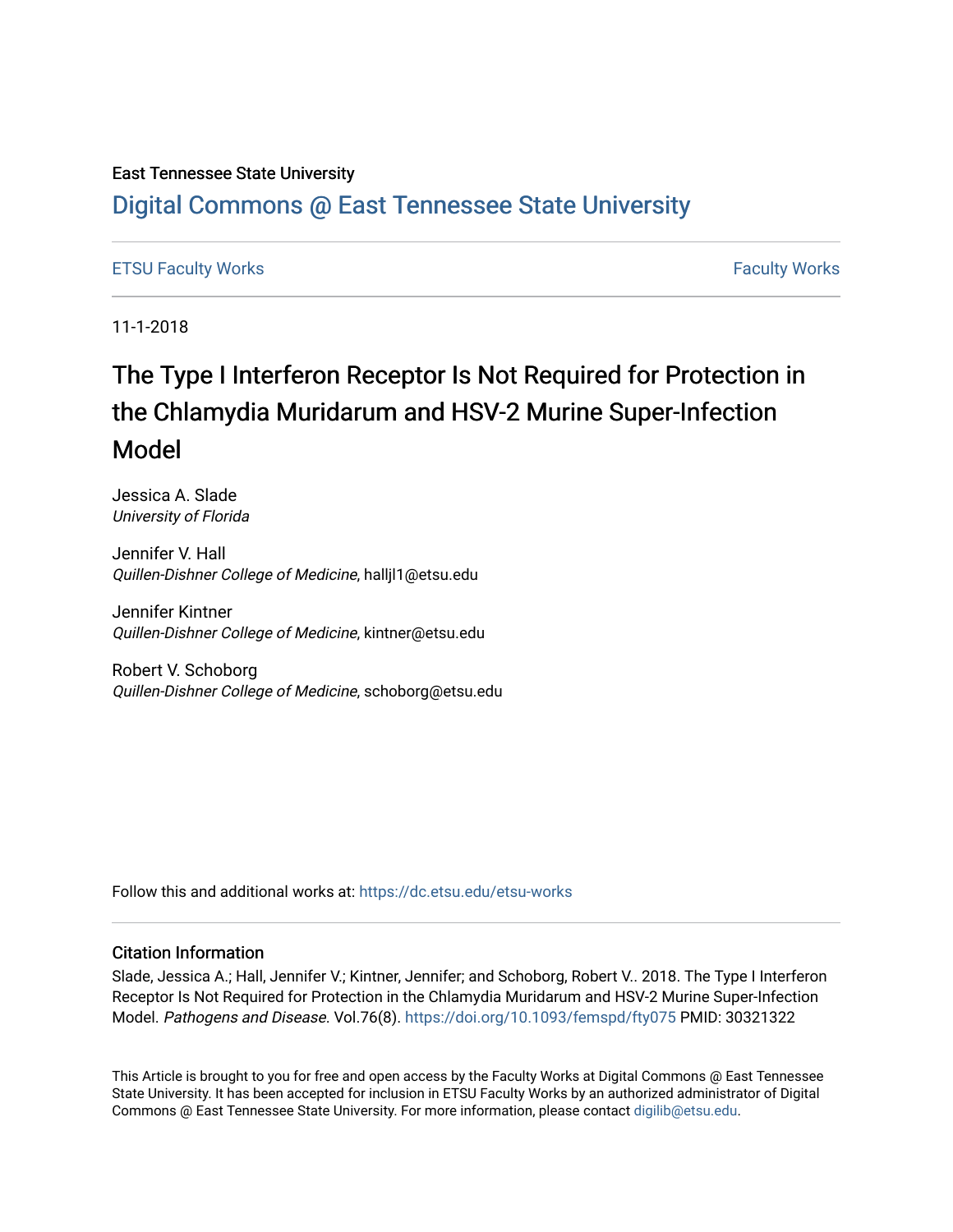## East Tennessee State University

# [Digital Commons @ East Tennessee State University](https://dc.etsu.edu/)

## [ETSU Faculty Works](https://dc.etsu.edu/etsu-works) [Faculty Works](https://dc.etsu.edu/faculty-works)

11-1-2018

# The Type I Interferon Receptor Is Not Required for Protection in the Chlamydia Muridarum and HSV-2 Murine Super-Infection Model

Jessica A. Slade University of Florida

Jennifer V. Hall Quillen-Dishner College of Medicine, halljl1@etsu.edu

Jennifer Kintner Quillen-Dishner College of Medicine, kintner@etsu.edu

Robert V. Schoborg Quillen-Dishner College of Medicine, schoborg@etsu.edu

Follow this and additional works at: [https://dc.etsu.edu/etsu-works](https://dc.etsu.edu/etsu-works?utm_source=dc.etsu.edu%2Fetsu-works%2F10192&utm_medium=PDF&utm_campaign=PDFCoverPages) 

### Citation Information

Slade, Jessica A.; Hall, Jennifer V.; Kintner, Jennifer; and Schoborg, Robert V.. 2018. The Type I Interferon Receptor Is Not Required for Protection in the Chlamydia Muridarum and HSV-2 Murine Super-Infection Model. Pathogens and Disease. Vol.76(8).<https://doi.org/10.1093/femspd/fty075> PMID: 30321322

This Article is brought to you for free and open access by the Faculty Works at Digital Commons @ East Tennessee State University. It has been accepted for inclusion in ETSU Faculty Works by an authorized administrator of Digital Commons @ East Tennessee State University. For more information, please contact [digilib@etsu.edu.](mailto:digilib@etsu.edu)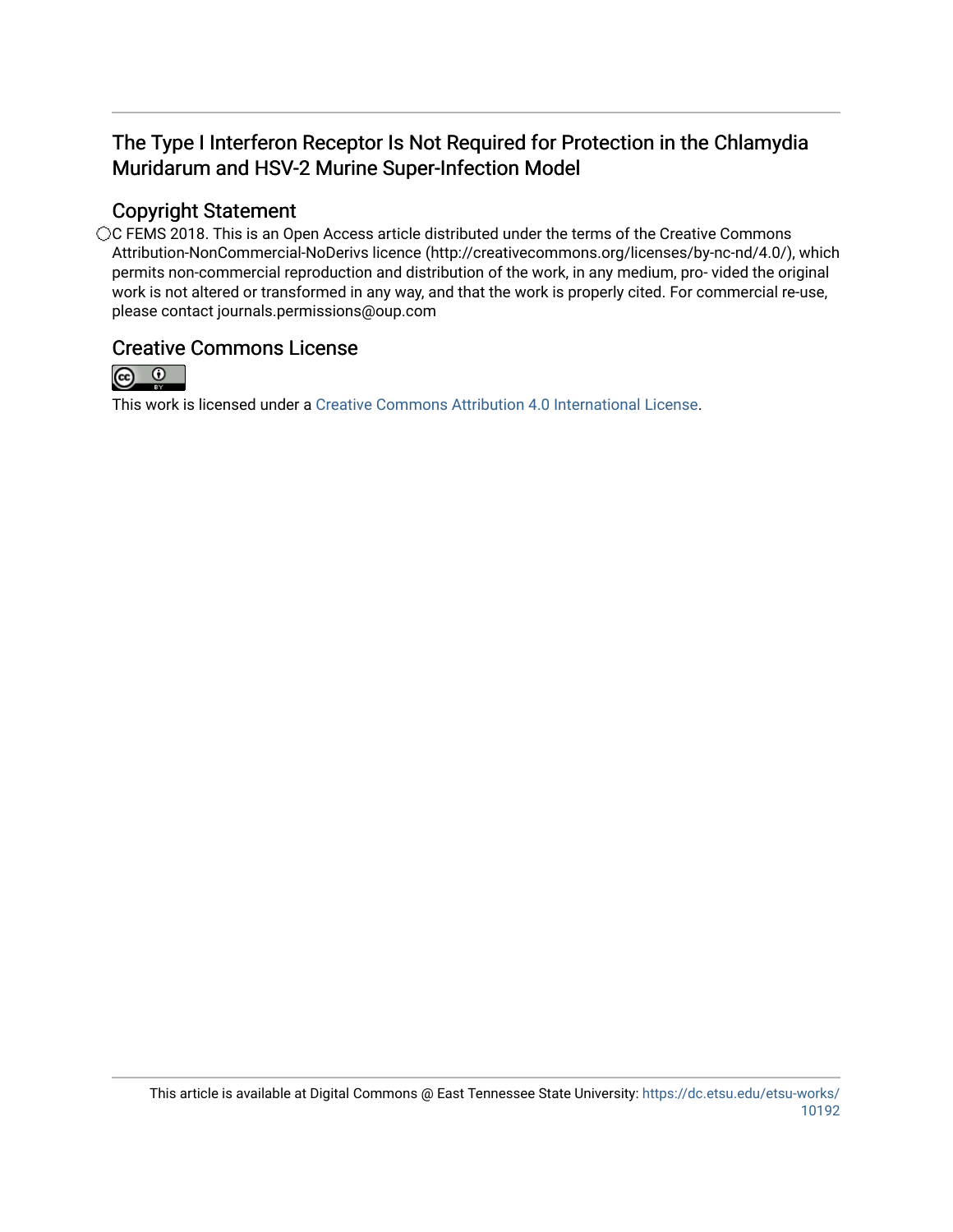# The Type I Interferon Receptor Is Not Required for Protection in the Chlamydia Muridarum and HSV-2 Murine Super-Infection Model

# Copyright Statement

○C FEMS 2018. This is an Open Access article distributed under the terms of the Creative Commons Attribution-NonCommercial-NoDerivs licence (http://creativecommons.org/licenses/by-nc-nd/4.0/), which permits non-commercial reproduction and distribution of the work, in any medium, pro- vided the original work is not altered or transformed in any way, and that the work is properly cited. For commercial re-use, please contact journals.permissions@oup.com

# Creative Commons License



This work is licensed under a [Creative Commons Attribution 4.0 International License.](https://creativecommons.org/licenses/by/4.0/)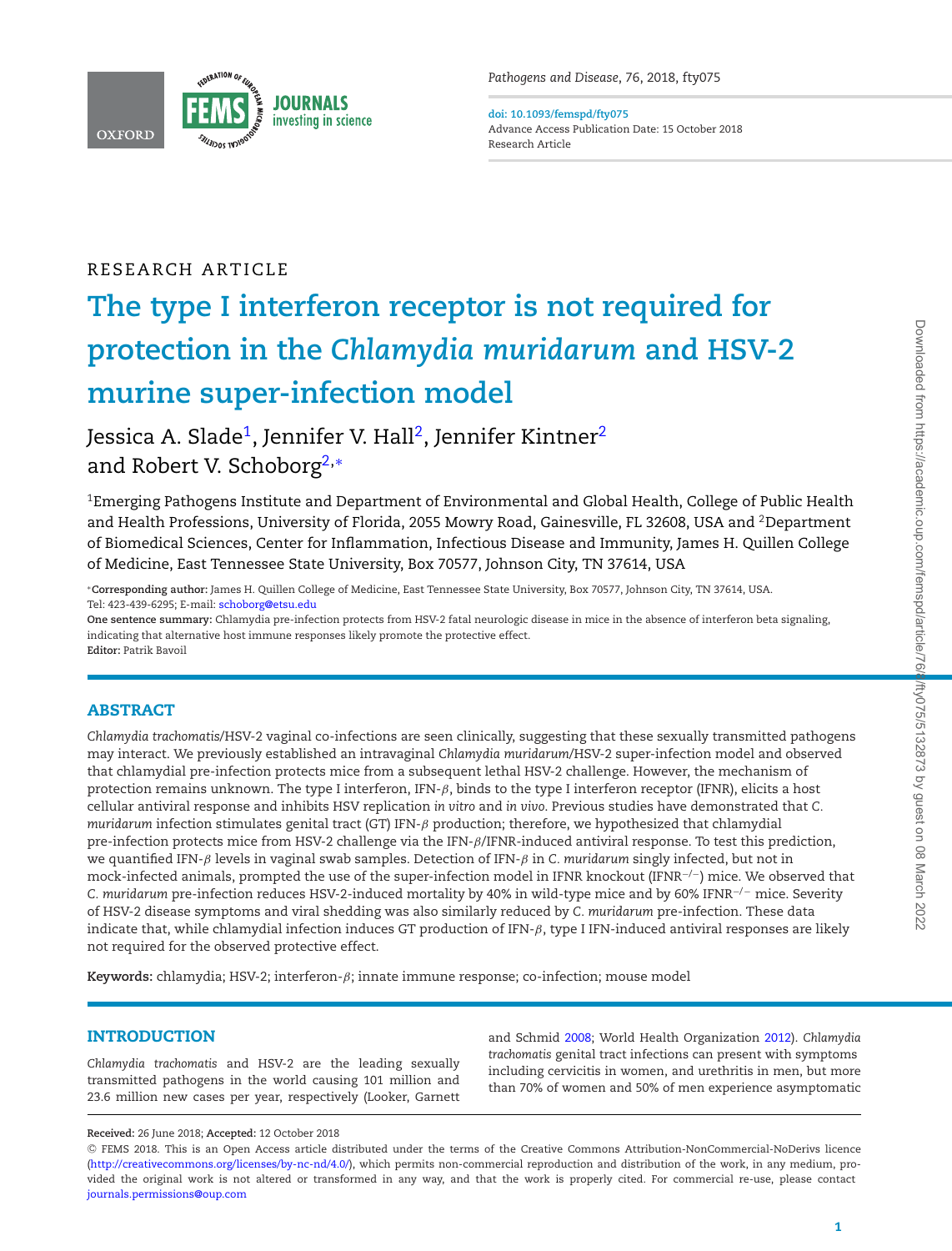

<span id="page-2-1"></span>**doi: 10.1093/femspd/fty075** Advance Access Publication Date: 15 October 2018 Research Article

## RESEARCH ARTICLE

# **The type I interferon receptor is not required for protection in the** *Chlamydia muridarum* **and HSV-2 murine super-infection model**

Jessica A. Slade<sup>1</sup>, Jennifer V. Hall<sup>2</sup>, Jennifer Kintner<sup>2</sup> and Robert V. Schobor[g2,](#page-2-1)[∗](#page-2-2)

<span id="page-2-0"></span><sup>1</sup>Emerging Pathogens Institute and Department of Environmental and Global Health, College of Public Health and Health Professions, University of Florida, 2055 Mowry Road, Gainesville, FL 32608, USA and 2Department of Biomedical Sciences, Center for Inflammation, Infectious Disease and Immunity, James H. Quillen College of Medicine, East Tennessee State University, Box 70577, Johnson City, TN 37614, USA

<span id="page-2-2"></span>∗**Corresponding author:** James H. Quillen College of Medicine, East Tennessee State University, Box 70577, Johnson City, TN 37614, USA. Tel: 423-439-6295; E-mail: [schoborg@etsu.edu](mailto:schoborg@etsu.edu)

**One sentence summary:** Chlamydia pre-infection protects from HSV-2 fatal neurologic disease in mice in the absence of interferon beta signaling, indicating that alternative host immune responses likely promote the protective effect. **Editor:** Patrik Bavoil

### **ABSTRACT**

*Chlamydia trachomatis*/HSV-2 vaginal co-infections are seen clinically, suggesting that these sexually transmitted pathogens may interact. We previously established an intravaginal *Chlamydia muridarum*/HSV-2 super-infection model and observed that chlamydial pre-infection protects mice from a subsequent lethal HSV-2 challenge. However, the mechanism of protection remains unknown. The type I interferon, IFN-β, binds to the type I interferon receptor (IFNR), elicits a host cellular antiviral response and inhibits HSV replication *in vitro* and *in vivo*. Previous studies have demonstrated that *C. muridarum* infection stimulates genital tract (GT) IFN-β production; therefore, we hypothesized that chlamydial pre-infection protects mice from HSV-2 challenge via the IFN-β/IFNR-induced antiviral response. To test this prediction, we quantified IFN-β levels in vaginal swab samples. Detection of IFN-β in *C. muridarum* singly infected, but not in mock-infected animals, prompted the use of the super-infection model in IFNR knockout (IFNR−/−) mice. We observed that *C. muridarum* pre-infection reduces HSV-2-induced mortality by 40% in wild-type mice and by 60% IFNR−/<sup>−</sup> mice. Severity of HSV-2 disease symptoms and viral shedding was also similarly reduced by *C. muridarum* pre-infection. These data indicate that, while chlamydial infection induces GT production of IFN- $\beta$ , type I IFN-induced antiviral responses are likely not required for the observed protective effect.

**Keywords:** chlamydia; HSV-2; interferon-β; innate immune response; co-infection; mouse model

### **INTRODUCTION**

*Chlamydia trachomatis* and HSV-2 are the leading sexually transmitted pathogens in the world causing 101 million and 23.6 million new cases per year, respectively (Looker, Garnett and Schmid [2008;](#page-7-0) World Health Organization [2012\)](#page-7-1). *Chlamydia trachomatis* genital tract infections can present with symptoms including cervicitis in women, and urethritis in men, but more than 70% of women and 50% of men experience asymptomatic

**Received:** 26 June 2018; **Accepted:** 12 October 2018

<sup>C</sup> FEMS 2018. This is an Open Access article distributed under the terms of the Creative Commons Attribution-NonCommercial-NoDerivs licence [\(http://creativecommons.org/licenses/by-nc-nd/4.0/\)](http://creativecommons.org/licenses/by-nc-nd/4.0/), which permits non-commercial reproduction and distribution of the work, in any medium, provided the original work is not altered or transformed in any way, and that the work is properly cited. For commercial re-use, please contact [journals.permissions@oup.com](mailto:journals.permissions@oup.com)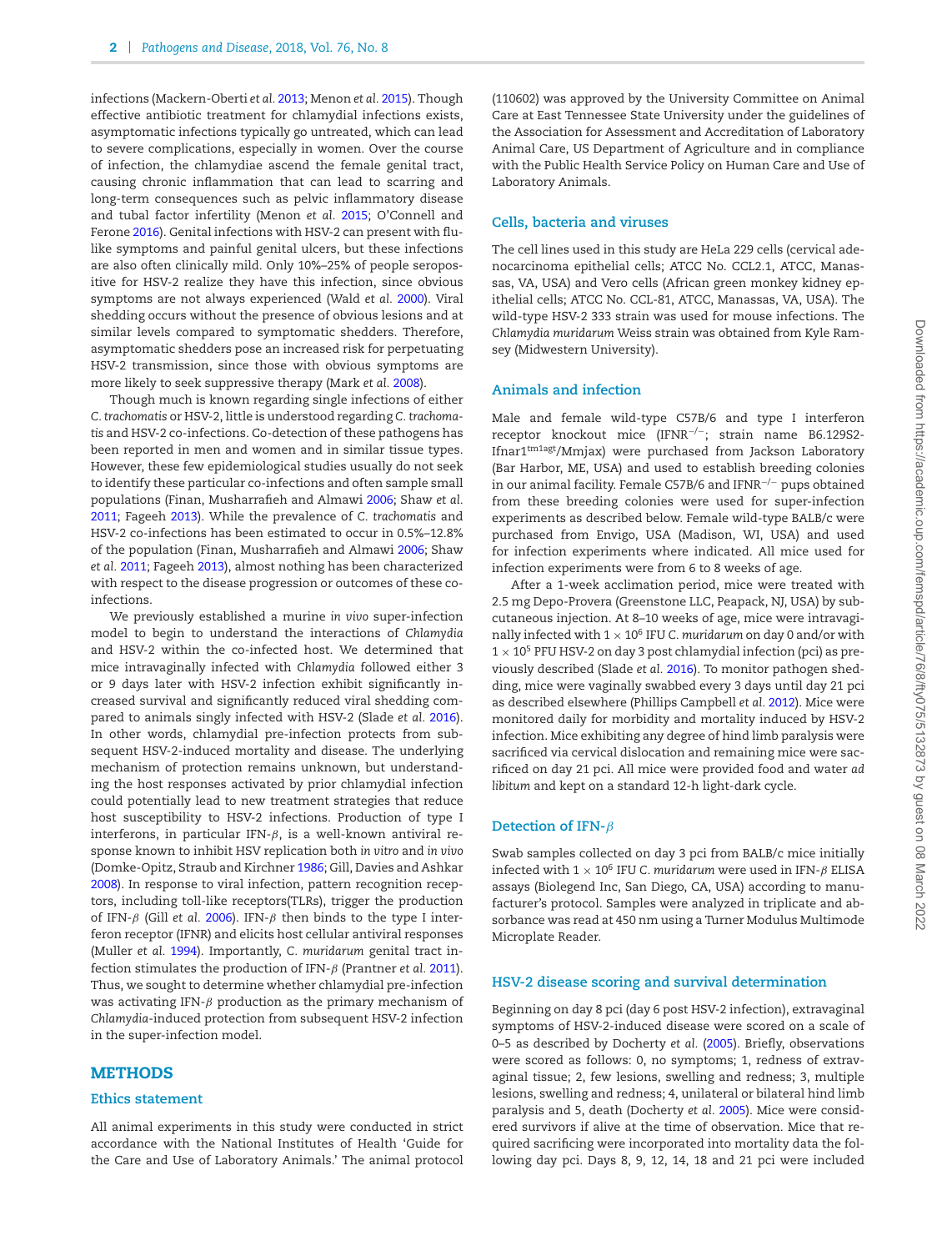infections (Mackern-Oberti *et al.* [2013;](#page-7-2) Menon *et al.* [2015\)](#page-7-3). Though effective antibiotic treatment for chlamydial infections exists, asymptomatic infections typically go untreated, which can lead to severe complications, especially in women. Over the course of infection, the chlamydiae ascend the female genital tract, causing chronic inflammation that can lead to scarring and long-term consequences such as pelvic inflammatory disease and tubal factor infertility (Menon *et al.* [2015;](#page-7-3) O'Connell and Ferone [2016\)](#page-7-4). Genital infections with HSV-2 can present with flulike symptoms and painful genital ulcers, but these infections are also often clinically mild. Only 10%–25% of people seropositive for HSV-2 realize they have this infection, since obvious symptoms are not always experienced (Wald *et al.* [2000\)](#page-7-5). Viral shedding occurs without the presence of obvious lesions and at similar levels compared to symptomatic shedders. Therefore, asymptomatic shedders pose an increased risk for perpetuating HSV-2 transmission, since those with obvious symptoms are more likely to seek suppressive therapy (Mark *et al.* [2008\)](#page-7-6).

Though much is known regarding single infections of either *C. trachomatis* or HSV-2, little is understood regarding *C. trachomatis* and HSV-2 co-infections. Co-detection of these pathogens has been reported in men and women and in similar tissue types. However, these few epidemiological studies usually do not seek to identify these particular co-infections and often sample small populations (Finan, Musharrafieh and Almawi [2006;](#page-7-7) Shaw *et al.* [2011;](#page-7-8) Fageeh [2013\)](#page-7-9). While the prevalence of *C. trachomatis* and HSV-2 co-infections has been estimated to occur in 0.5%–12.8% of the population (Finan, Musharrafieh and Almawi [2006;](#page-7-7) Shaw *et al.* [2011;](#page-7-8) Fageeh [2013\)](#page-7-9), almost nothing has been characterized with respect to the disease progression or outcomes of these coinfections.

We previously established a murine *in vivo* super-infection model to begin to understand the interactions of *Chlamydia* and HSV-2 within the co-infected host. We determined that mice intravaginally infected with *Chlamydia* followed either 3 or 9 days later with HSV-2 infection exhibit significantly increased survival and significantly reduced viral shedding compared to animals singly infected with HSV-2 (Slade *et al.* [2016\)](#page-7-10). In other words, chlamydial pre-infection protects from subsequent HSV-2-induced mortality and disease. The underlying mechanism of protection remains unknown, but understanding the host responses activated by prior chlamydial infection could potentially lead to new treatment strategies that reduce host susceptibility to HSV-2 infections. Production of type I interferons, in particular IFN- $β$ , is a well-known antiviral response known to inhibit HSV replication both *in vitro* and *in vivo* (Domke-Opitz, Straub and Kirchner [1986;](#page-6-0) Gill, Davies and Ashkar [2008\)](#page-7-11). In response to viral infection, pattern recognition receptors, including toll-like receptors(TLRs), trigger the production of IFN-β (Gill *et al.* [2006\)](#page-7-12). IFN-β then binds to the type I interferon receptor (IFNR) and elicits host cellular antiviral responses (Muller *et al.* [1994\)](#page-7-13). Importantly, *C. muridarum* genital tract infection stimulates the production of IFN-β (Prantner *et al.* [2011\)](#page-7-14). Thus, we sought to determine whether chlamydial pre-infection was activating IFN- $\beta$  production as the primary mechanism of *Chlamydia*-induced protection from subsequent HSV-2 infection in the super-infection model.

#### **METHODS**

#### **Ethics statement**

All animal experiments in this study were conducted in strict accordance with the National Institutes of Health 'Guide for the Care and Use of Laboratory Animals.' The animal protocol (110602) was approved by the University Committee on Animal Care at East Tennessee State University under the guidelines of the Association for Assessment and Accreditation of Laboratory Animal Care, US Department of Agriculture and in compliance with the Public Health Service Policy on Human Care and Use of Laboratory Animals.

#### **Cells, bacteria and viruses**

The cell lines used in this study are HeLa 229 cells (cervical adenocarcinoma epithelial cells; ATCC No. CCL2.1, ATCC, Manassas, VA, USA) and Vero cells (African green monkey kidney epithelial cells; ATCC No. CCL-81, ATCC, Manassas, VA, USA). The wild-type HSV-2 333 strain was used for mouse infections. The *Chlamydia muridarum* Weiss strain was obtained from Kyle Ramsey (Midwestern University).

#### **Animals and infection**

Male and female wild-type C57B/6 and type I interferon receptor knockout mice (IFNR−/−; strain name B6.129S2- Ifnar1tm1agt/Mmjax) were purchased from Jackson Laboratory (Bar Harbor, ME, USA) and used to establish breeding colonies in our animal facility. Female C57B/6 and IFNR−/<sup>−</sup> pups obtained from these breeding colonies were used for super-infection experiments as described below. Female wild-type BALB/c were purchased from Envigo, USA (Madison, WI, USA) and used for infection experiments where indicated. All mice used for infection experiments were from 6 to 8 weeks of age.

After a 1-week acclimation period, mice were treated with 2.5 mg Depo-Provera (Greenstone LLC, Peapack, NJ, USA) by subcutaneous injection. At 8–10 weeks of age, mice were intravaginally infected with 1 <sup>×</sup> 106 IFU *C. muridarum* on day 0 and/or with  $1 \times 10^5$  PFU HSV-2 on day 3 post chlamydial infection (pci) as previously described (Slade *et al.* [2016\)](#page-7-10). To monitor pathogen shedding, mice were vaginally swabbed every 3 days until day 21 pci as described elsewhere (Phillips Campbell *et al.* [2012\)](#page-7-15). Mice were monitored daily for morbidity and mortality induced by HSV-2 infection. Mice exhibiting any degree of hind limb paralysis were sacrificed via cervical dislocation and remaining mice were sacrificed on day 21 pci. All mice were provided food and water *ad libitum* and kept on a standard 12-h light-dark cycle.

#### **Detection of IFN-**β

Swab samples collected on day 3 pci from BALB/c mice initially infected with  $1 \times 10^6$  IFU *C. muridarum* were used in IFN- $\beta$  ELISA assays (Biolegend Inc, San Diego, CA, USA) according to manufacturer's protocol. Samples were analyzed in triplicate and absorbance was read at 450 nm using a Turner Modulus Multimode Microplate Reader.

#### **HSV-2 disease scoring and survival determination**

Beginning on day 8 pci (day 6 post HSV-2 infection), extravaginal symptoms of HSV-2-induced disease were scored on a scale of 0–5 as described by Docherty *et al.* [\(2005\)](#page-6-1). Briefly, observations were scored as follows: 0, no symptoms; 1, redness of extravaginal tissue; 2, few lesions, swelling and redness; 3, multiple lesions, swelling and redness; 4, unilateral or bilateral hind limb paralysis and 5, death (Docherty *et al.* [2005\)](#page-6-1). Mice were considered survivors if alive at the time of observation. Mice that required sacrificing were incorporated into mortality data the following day pci. Days 8, 9, 12, 14, 18 and 21 pci were included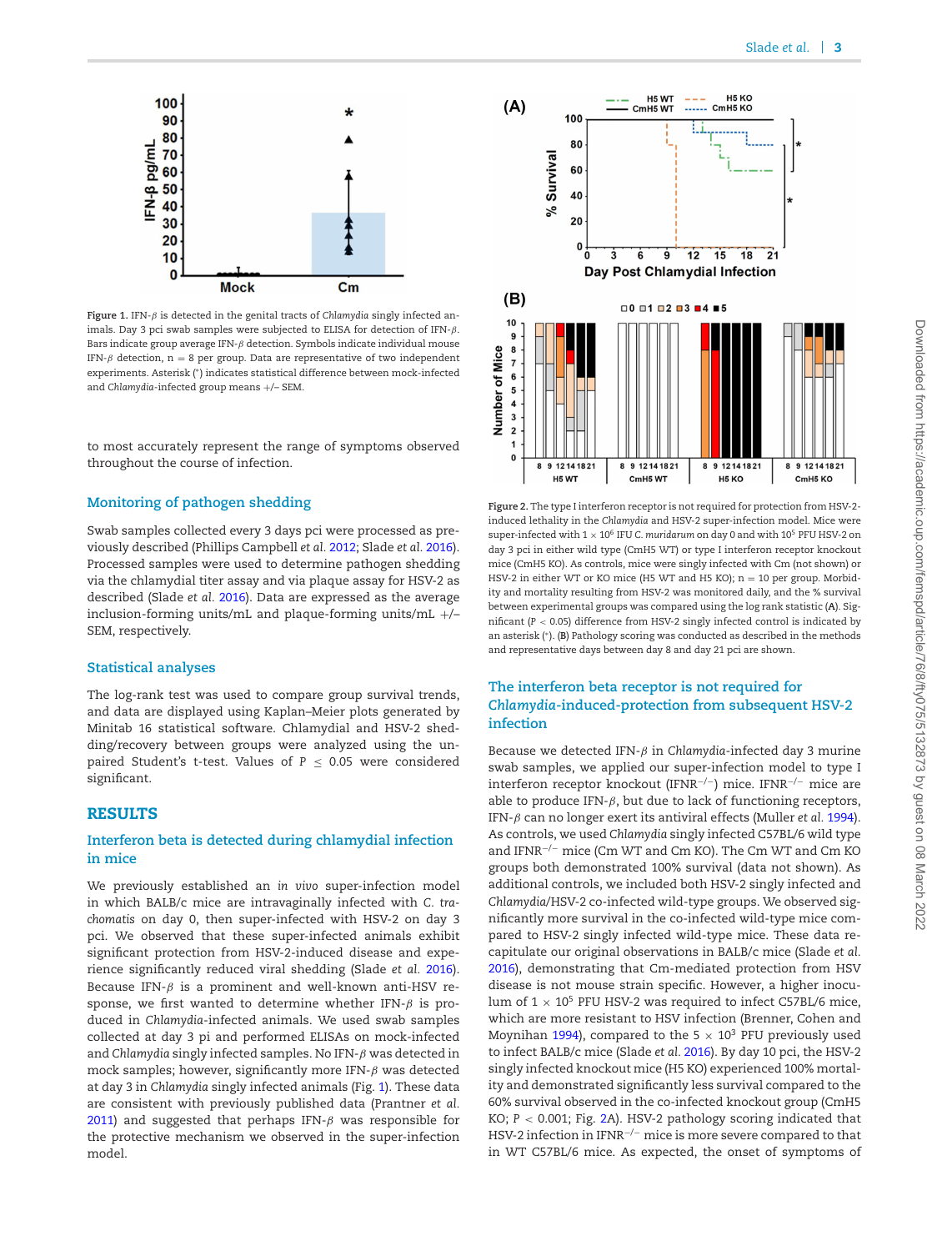<span id="page-4-0"></span>

**Figure 1.** IFN-β is detected in the genital tracts of *Chlamydia* singly infected animals. Day 3 pci swab samples were subjected to ELISA for detection of IFN-β. Bars indicate group average IFN- $\beta$  detection. Symbols indicate individual mouse IFN- $\beta$  detection, n = 8 per group. Data are representative of two independent experiments. Asterisk (∗) indicates statistical difference between mock-infected and *Chlamydia*-infected group means +/– SEM.

to most accurately represent the range of symptoms observed throughout the course of infection.

#### **Monitoring of pathogen shedding**

Swab samples collected every 3 days pci were processed as previously described (Phillips Campbell *et al.* [2012;](#page-7-15) Slade *et al.* [2016\)](#page-7-10). Processed samples were used to determine pathogen shedding via the chlamydial titer assay and via plaque assay for HSV-2 as described (Slade *et al.* [2016\)](#page-7-10). Data are expressed as the average inclusion-forming units/mL and plaque-forming units/mL +/– SEM, respectively.

#### **Statistical analyses**

The log-rank test was used to compare group survival trends, and data are displayed using Kaplan–Meier plots generated by Minitab 16 statistical software. Chlamydial and HSV-2 shedding/recovery between groups were analyzed using the unpaired Student's t-test. Values of  $P \le 0.05$  were considered significant.

#### **RESULTS**

#### **Interferon beta is detected during chlamydial infection in mice**

We previously established an *in vivo* super-infection model in which BALB/c mice are intravaginally infected with *C. trachomatis* on day 0, then super-infected with HSV-2 on day 3 pci. We observed that these super-infected animals exhibit significant protection from HSV-2-induced disease and experience significantly reduced viral shedding (Slade *et al.* [2016\)](#page-7-10). Because IFN- $\beta$  is a prominent and well-known anti-HSV response, we first wanted to determine whether IFN- $\beta$  is produced in *Chlamydia*-infected animals. We used swab samples collected at day 3 pi and performed ELISAs on mock-infected and *Chlamydia* singly infected samples. No IFN-β was detected in mock samples; however, significantly more IFN- $\beta$  was detected at day 3 in *Chlamydia* singly infected animals (Fig. [1\)](#page-4-0). These data are consistent with previously published data (Prantner *et al.* [2011\)](#page-7-14) and suggested that perhaps IFN- $\beta$  was responsible for the protective mechanism we observed in the super-infection model.

<span id="page-4-1"></span>

**Figure 2.** The type I interferon receptor is not required for protection from HSV-2 induced lethality in the *Chlamydia* and HSV-2 super-infection model. Mice were super-infected with  $1 \times 10^6$  IFU *C. muridarum* on day 0 and with  $10^5$  PFU HSV-2 on day 3 pci in either wild type (CmH5 WT) or type I interferon receptor knockout mice (CmH5 KO). As controls, mice were singly infected with Cm (not shown) or HSV-2 in either WT or KO mice (H5 WT and H5 KO); n = 10 per group. Morbidity and mortality resulting from HSV-2 was monitored daily, and the % survival between experimental groups was compared using the log rank statistic (**A**). Significant (*P* < 0.05) difference from HSV-2 singly infected control is indicated by an asterisk (∗). (**B**) Pathology scoring was conducted as described in the methods and representative days between day 8 and day 21 pci are shown.

#### **The interferon beta receptor is not required for** *Chlamydia***-induced-protection from subsequent HSV-2 infection**

Because we detected IFN-β in *Chlamydia*-infected day 3 murine swab samples, we applied our super-infection model to type I interferon receptor knockout (IFNR−/−) mice. IFNR−/<sup>−</sup> mice are able to produce IFN- $\beta$ , but due to lack of functioning receptors, IFN-β can no longer exert its antiviral effects (Muller *et al.* [1994\)](#page-7-13). As controls, we used *Chlamydia* singly infected C57BL/6 wild type and IFNR−/<sup>−</sup> mice (Cm WT and Cm KO). The Cm WT and Cm KO groups both demonstrated 100% survival (data not shown). As additional controls, we included both HSV-2 singly infected and *Chlamydia*/HSV-2 co-infected wild-type groups. We observed significantly more survival in the co-infected wild-type mice compared to HSV-2 singly infected wild-type mice. These data recapitulate our original observations in BALB/c mice (Slade *et al.* [2016\)](#page-7-10), demonstrating that Cm-mediated protection from HSV disease is not mouse strain specific. However, a higher inoculum of  $1 \times 10^5$  PFU HSV-2 was required to infect C57BL/6 mice, which are more resistant to HSV infection (Brenner, Cohen and Moynihan [1994\)](#page-6-2), compared to the 5  $\times$  10<sup>3</sup> PFU previously used to infect BALB/c mice (Slade *et al.* [2016\)](#page-7-10). By day 10 pci, the HSV-2 singly infected knockout mice (H5 KO) experienced 100% mortality and demonstrated significantly less survival compared to the 60% survival observed in the co-infected knockout group (CmH5 KO; *P* < 0.001; Fig. [2A](#page-4-1)). HSV-2 pathology scoring indicated that HSV-2 infection in IFNR<sup>-/-</sup> mice is more severe compared to that in WT C57BL/6 mice. As expected, the onset of symptoms of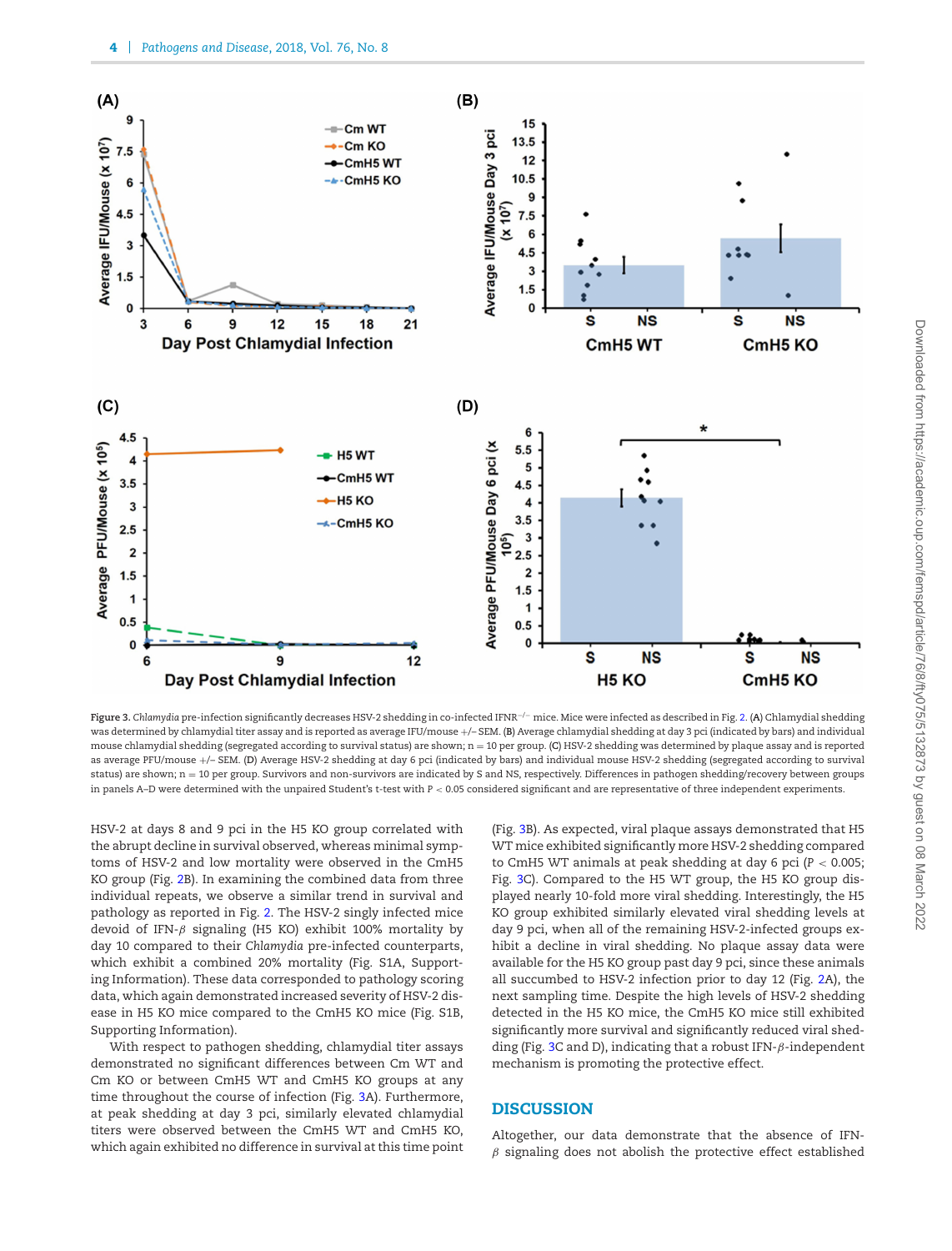<span id="page-5-0"></span>

**Figure 3.** *Chlamydia* pre-infection significantly decreases HSV-2 shedding in co-infected IFNR−/<sup>−</sup> mice. Mice were infected as described in Fig. [2.](#page-4-1) (**A**) Chlamydial shedding was determined by chlamydial titer assay and is reported as average IFU/mouse +/– SEM. (**B**) Average chlamydial shedding at day 3 pci (indicated by bars) and individual mouse chlamydial shedding (segregated according to survival status) are shown; n = 10 per group. (**C**) HSV-2 shedding was determined by plaque assay and is reported as average PFU/mouse +/– SEM. (**D**) Average HSV-2 shedding at day 6 pci (indicated by bars) and individual mouse HSV-2 shedding (segregated according to survival status) are shown; n = 10 per group. Survivors and non-survivors are indicated by S and NS, respectively. Differences in pathogen shedding/recovery between groups in panels A–D were determined with the unpaired Student's t-test with *P* < 0.05 considered significant and are representative of three independent experiments.

HSV-2 at days 8 and 9 pci in the H5 KO group correlated with the abrupt decline in survival observed, whereas minimal symptoms of HSV-2 and low mortality were observed in the CmH5 KO group (Fig. [2B](#page-4-1)). In examining the combined data from three individual repeats, we observe a similar trend in survival and pathology as reported in Fig. [2.](#page-4-1) The HSV-2 singly infected mice devoid of IFN- $\beta$  signaling (H5 KO) exhibit 100% mortality by day 10 compared to their *Chlamydia* pre-infected counterparts, which exhibit a combined 20% mortality (Fig. S1A, Supporting Information). These data corresponded to pathology scoring data, which again demonstrated increased severity of HSV-2 disease in H5 KO mice compared to the CmH5 KO mice (Fig. S1B, Supporting Information).

With respect to pathogen shedding, chlamydial titer assays demonstrated no significant differences between Cm WT and Cm KO or between CmH5 WT and CmH5 KO groups at any time throughout the course of infection (Fig. [3A](#page-5-0)). Furthermore, at peak shedding at day 3 pci, similarly elevated chlamydial titers were observed between the CmH5 WT and CmH5 KO, which again exhibited no difference in survival at this time point (Fig. [3B](#page-5-0)). As expected, viral plaque assays demonstrated that H5 WT mice exhibited significantly more HSV-2 shedding compared to CmH5 WT animals at peak shedding at day 6 pci (*P* < 0.005; Fig. [3C](#page-5-0)). Compared to the H5 WT group, the H5 KO group displayed nearly 10-fold more viral shedding. Interestingly, the H5 KO group exhibited similarly elevated viral shedding levels at day 9 pci, when all of the remaining HSV-2-infected groups exhibit a decline in viral shedding. No plaque assay data were available for the H5 KO group past day 9 pci, since these animals all succumbed to HSV-2 infection prior to day 12 (Fig. [2A](#page-4-1)), the next sampling time. Despite the high levels of HSV-2 shedding detected in the H5 KO mice, the CmH5 KO mice still exhibited significantly more survival and significantly reduced viral shed-ding (Fig. [3C](#page-5-0) and D), indicating that a robust IFN- $\beta$ -independent mechanism is promoting the protective effect.

#### **DISCUSSION**

Altogether, our data demonstrate that the absence of IFN- $\beta$  signaling does not abolish the protective effect established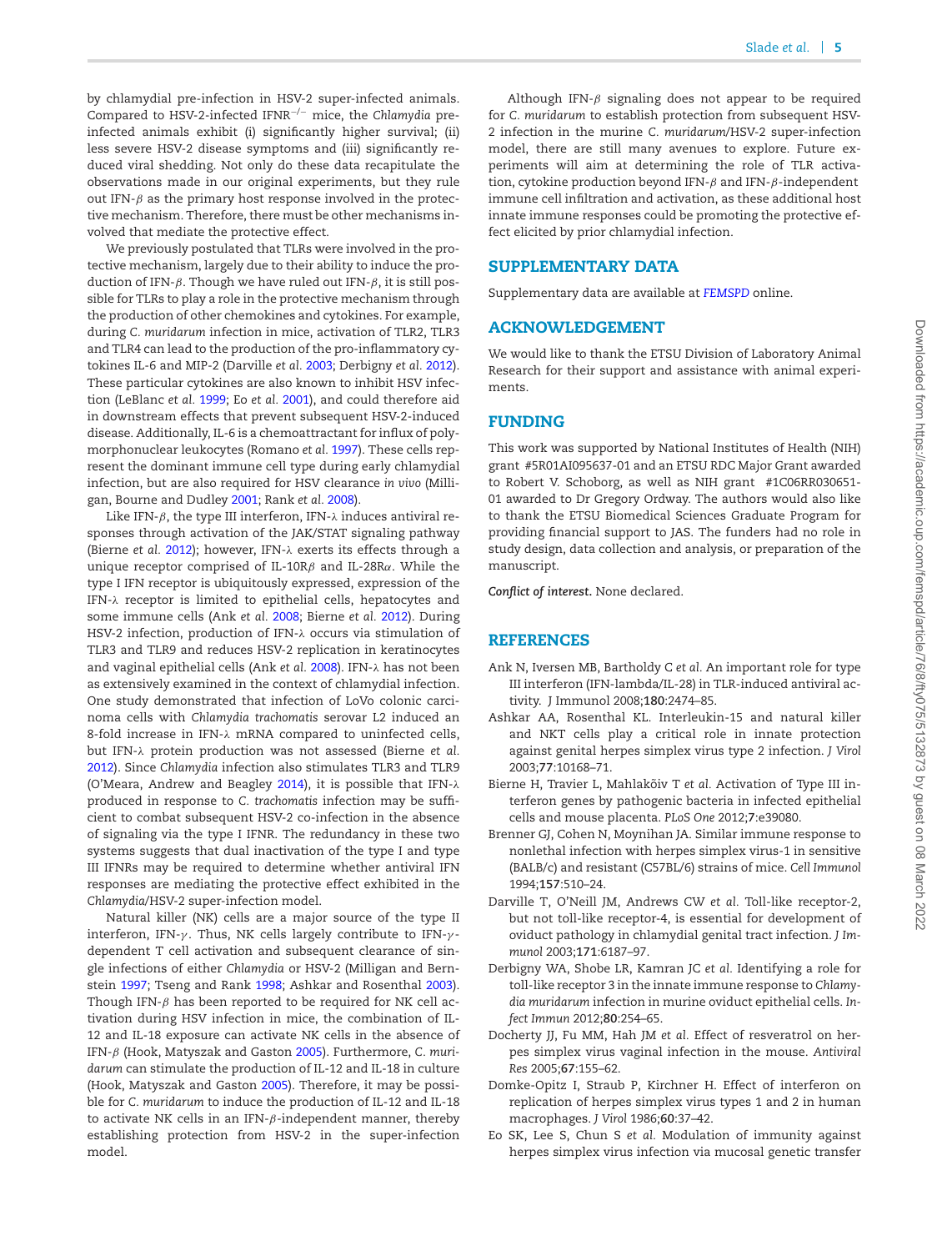by chlamydial pre-infection in HSV-2 super-infected animals. Compared to HSV-2-infected IFNR−/<sup>−</sup> mice, the *Chlamydia* preinfected animals exhibit (i) significantly higher survival; (ii) less severe HSV-2 disease symptoms and (iii) significantly reduced viral shedding. Not only do these data recapitulate the observations made in our original experiments, but they rule out IFN- $\beta$  as the primary host response involved in the protective mechanism. Therefore, there must be other mechanisms involved that mediate the protective effect.

We previously postulated that TLRs were involved in the protective mechanism, largely due to their ability to induce the production of IFN-β. Though we have ruled out IFN-β, it is still possible for TLRs to play a role in the protective mechanism through the production of other chemokines and cytokines. For example, during *C. muridarum* infection in mice, activation of TLR2, TLR3 and TLR4 can lead to the production of the pro-inflammatory cytokines IL-6 and MIP-2 (Darville *et al.* [2003;](#page-6-3) Derbigny *et al.* [2012\)](#page-6-4). These particular cytokines are also known to inhibit HSV infection (LeBlanc *et al.* [1999;](#page-7-16) Eo *et al.* [2001\)](#page-6-5), and could therefore aid in downstream effects that prevent subsequent HSV-2-induced disease. Additionally, IL-6 is a chemoattractant for influx of polymorphonuclear leukocytes (Romano *et al.* [1997\)](#page-7-17). These cells represent the dominant immune cell type during early chlamydial infection, but are also required for HSV clearance *in vivo* (Milligan, Bourne and Dudley [2001;](#page-7-18) Rank *et al.* [2008\)](#page-7-19).

Like IFN- $\beta$ , the type III interferon, IFN- $\lambda$  induces antiviral responses through activation of the JAK/STAT signaling pathway (Bierne *et al.* [2012\)](#page-6-6); however, IFN-λ exerts its effects through a unique receptor comprised of IL-10R $\beta$  and IL-28R $\alpha$ . While the type I IFN receptor is ubiquitously expressed, expression of the IFN-λ receptor is limited to epithelial cells, hepatocytes and some immune cells (Ank *et al.* [2008;](#page-6-7) Bierne *et al.* [2012\)](#page-6-6). During HSV-2 infection, production of IFN-λ occurs via stimulation of TLR3 and TLR9 and reduces HSV-2 replication in keratinocytes and vaginal epithelial cells (Ank *et al.* [2008\)](#page-6-7). IFN-λ has not been as extensively examined in the context of chlamydial infection. One study demonstrated that infection of LoVo colonic carcinoma cells with *Chlamydia trachomatis* serovar L2 induced an 8-fold increase in IFN-λ mRNA compared to uninfected cells, but IFN-λ protein production was not assessed (Bierne *et al.* [2012\)](#page-6-6). Since *Chlamydia* infection also stimulates TLR3 and TLR9 (O'Meara, Andrew and Beagley [2014\)](#page-7-20), it is possible that IFN-λ produced in response to *C. trachomatis* infection may be sufficient to combat subsequent HSV-2 co-infection in the absence of signaling via the type I IFNR. The redundancy in these two systems suggests that dual inactivation of the type I and type III IFNRs may be required to determine whether antiviral IFN responses are mediating the protective effect exhibited in the *Chlamydia*/HSV-2 super-infection model.

Natural killer (NK) cells are a major source of the type II interferon, IFN- $\gamma$ . Thus, NK cells largely contribute to IFN- $\gamma$ dependent T cell activation and subsequent clearance of single infections of either *Chlamydia* or HSV-2 (Milligan and Bernstein [1997;](#page-7-21) Tseng and Rank [1998;](#page-7-22) Ashkar and Rosenthal [2003\)](#page-6-8). Though IFN- $\beta$  has been reported to be required for NK cell activation during HSV infection in mice, the combination of IL-12 and IL-18 exposure can activate NK cells in the absence of IFN-β (Hook, Matyszak and Gaston [2005\)](#page-7-23). Furthermore, *C. muridarum* can stimulate the production of IL-12 and IL-18 in culture (Hook, Matyszak and Gaston [2005\)](#page-7-23). Therefore, it may be possible for *C. muridarum* to induce the production of IL-12 and IL-18 to activate NK cells in an IFN- $\beta$ -independent manner, thereby establishing protection from HSV-2 in the super-infection model.

Although IFN- $\beta$  signaling does not appear to be required for *C. muridarum* to establish protection from subsequent HSV-2 infection in the murine *C. muridarum*/HSV-2 super-infection model, there are still many avenues to explore. Future experiments will aim at determining the role of TLR activation, cytokine production beyond IFN- $\beta$  and IFN- $\beta$ -independent immune cell infiltration and activation, as these additional host innate immune responses could be promoting the protective effect elicited by prior chlamydial infection.

#### **SUPPLEMENTARY DATA**

Supplementary data are available at *[FEMSPD](https://academic.oup.com/femspd/article-lookup/doi/10.1093/femspd/fty075#supplementary-data)* online.

#### **ACKNOWLEDGEMENT**

We would like to thank the ETSU Division of Laboratory Animal Research for their support and assistance with animal experiments.

#### **FUNDING**

This work was supported by National Institutes of Health (NIH) grant #5R01AI095637-01 and an ETSU RDC Major Grant awarded to Robert V. Schoborg, as well as NIH grant #1C06RR030651- 01 awarded to Dr Gregory Ordway. The authors would also like to thank the ETSU Biomedical Sciences Graduate Program for providing financial support to JAS. The funders had no role in study design, data collection and analysis, or preparation of the manuscript.

*Conflict of interest***.** None declared.

#### **REFERENCES**

- <span id="page-6-7"></span>Ank N, Iversen MB, Bartholdy C *et al.* An important role for type III interferon (IFN-lambda/IL-28) in TLR-induced antiviral activity. J Immunol 2008;**180**:2474–85.
- <span id="page-6-8"></span>Ashkar AA, Rosenthal KL. Interleukin-15 and natural killer and NKT cells play a critical role in innate protection against genital herpes simplex virus type 2 infection. *J Virol* 2003;**77**:10168–71.
- <span id="page-6-6"></span>Bierne H, Travier L, Mahlakõiv T et al. Activation of Type III interferon genes by pathogenic bacteria in infected epithelial cells and mouse placenta. *PLoS One* 2012;**7**:e39080.
- <span id="page-6-2"></span>Brenner GJ, Cohen N, Moynihan JA. Similar immune response to nonlethal infection with herpes simplex virus-1 in sensitive (BALB/c) and resistant (C57BL/6) strains of mice. *Cell Immunol* 1994;**157**:510–24.
- <span id="page-6-3"></span>Darville T, O'Neill JM, Andrews CW *et al.* Toll-like receptor-2, but not toll-like receptor-4, is essential for development of oviduct pathology in chlamydial genital tract infection. *J Immunol* 2003;**171**:6187–97.
- <span id="page-6-4"></span>Derbigny WA, Shobe LR, Kamran JC *et al.* Identifying a role for toll-like receptor 3 in the innate immune response to *Chlamydia muridarum* infection in murine oviduct epithelial cells. *Infect Immun* 2012;**80**:254–65.
- <span id="page-6-1"></span>Docherty JJ, Fu MM, Hah JM *et al.* Effect of resveratrol on herpes simplex virus vaginal infection in the mouse. *Antiviral Res* 2005;**67**:155–62.
- <span id="page-6-0"></span>Domke-Opitz I, Straub P, Kirchner H. Effect of interferon on replication of herpes simplex virus types 1 and 2 in human macrophages. *J Virol* 1986;**60**:37–42.
- <span id="page-6-5"></span>Eo SK, Lee S, Chun S *et al.* Modulation of immunity against herpes simplex virus infection via mucosal genetic transfer